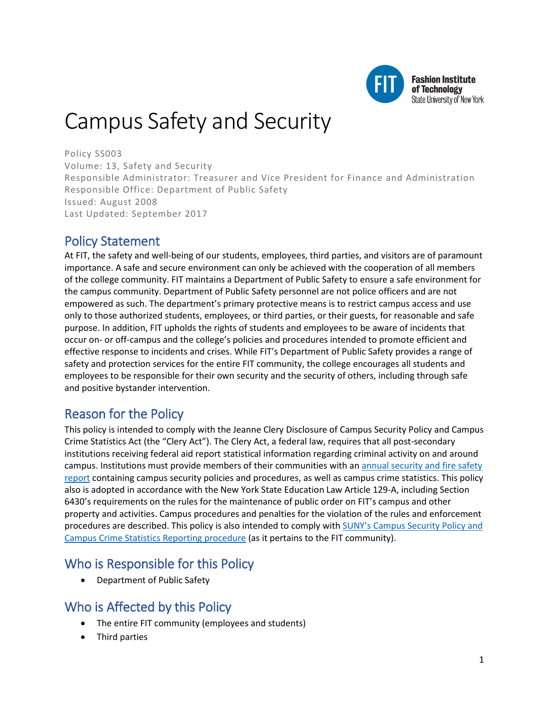

**Fashion Institute** of Technology **State University of New York** 

# Campus Safety and Security

Policy SS003 Volume: 13, Safety and Security Responsible Administrator: Treasurer and Vice President for Finance and Administration Responsible Office: Department of Public Safety Issued: August 2008 Last Updated: September 2017

# Policy Statement

At FIT, the safety and well-being of our students, employees, third parties, and visitors are of paramount importance. A safe and secure environment can only be achieved with the cooperation of all members of the college community. FIT maintains a Department of Public Safety to ensure a safe environment for the campus community. Department of Public Safety personnel are not police officers and are not empowered as such. The department's primary protective means is to restrict campus access and use only to those authorized students, employees, or third parties, or their guests, for reasonable and safe purpose. In addition, FIT upholds the rights of students and employees to be aware of incidents that occur on- or off-campus and the college's policies and procedures intended to promote efficient and effective response to incidents and crises. While FIT's Department of Public Safety provides a range of safety and protection services for the entire FIT community, the college encourages all students and employees to be responsible for their own security and the security of others, including through safe and positive bystander intervention.

# Reason for the Policy

This policy is intended to comply with the Jeanne Clery Disclosure of Campus Security Policy and Campus Crime Statistics Act (the "Clery Act"). The Clery Act, a federal law, requires that all post-secondary institutions receiving federal aid report statistical information regarding criminal activity on and around campus. Institutions must provide members of their communities with a[n annual security and fire safety](http://www.fitnyc.edu/safety/statistics/)  [report](http://www.fitnyc.edu/safety/statistics/) containing campus security policies and procedures, as well as campus crime statistics. This policy also is adopted in accordance with the New York State Education Law Article 129-A, including Section 6430's requirements on the rules for the maintenance of public order on FIT's campus and other property and activities. Campus procedures and penalties for the violation of the rules and enforcement procedures are described. This policy is also intended to comply with [SUNY's Campus Security Policy and](https://www.suny.edu/sunypp/documents.cfm?doc_id=447) [Campus Crime Statistics Reporting procedure](https://www.suny.edu/sunypp/documents.cfm?doc_id=447) (as it pertains to the FIT community).

### Who is Responsible for this Policy

• Department of Public Safety

# Who is Affected by this Policy

- The entire FIT community (employees and students)
- Third parties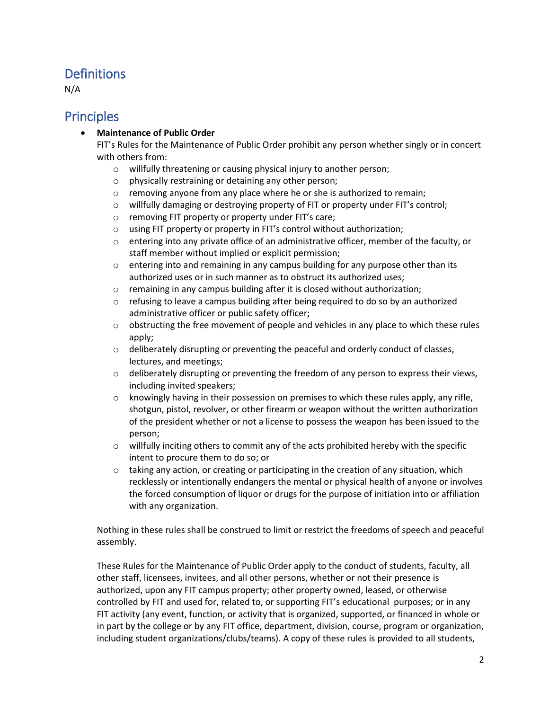## **Definitions**

N/A

### **Principles**

#### • **Maintenance of Public Order**

FIT's Rules for the Maintenance of Public Order prohibit any person whether singly or in concert with others from:

- o willfully threatening or causing physical injury to another person;
- o physically restraining or detaining any other person;
- $\circ$  removing anyone from any place where he or she is authorized to remain;
- o willfully damaging or destroying property of FIT or property under FIT's control;
- o removing FIT property or property under FIT's care;
- o using FIT property or property in FIT's control without authorization;
- $\circ$  entering into any private office of an administrative officer, member of the faculty, or staff member without implied or explicit permission;
- $\circ$  entering into and remaining in any campus building for any purpose other than its authorized uses or in such manner as to obstruct its authorized uses;
- o remaining in any campus building after it is closed without authorization;
- $\circ$  refusing to leave a campus building after being required to do so by an authorized administrative officer or public safety officer;
- $\circ$  obstructing the free movement of people and vehicles in any place to which these rules apply;
- $\circ$  deliberately disrupting or preventing the peaceful and orderly conduct of classes, lectures, and meetings;
- $\circ$  deliberately disrupting or preventing the freedom of any person to express their views, including invited speakers;
- $\circ$  knowingly having in their possession on premises to which these rules apply, any rifle, shotgun, pistol, revolver, or other firearm or weapon without the written authorization of the president whether or not a license to possess the weapon has been issued to the person;
- $\circ$  willfully inciting others to commit any of the acts prohibited hereby with the specific intent to procure them to do so; or
- $\circ$  taking any action, or creating or participating in the creation of any situation, which recklessly or intentionally endangers the mental or physical health of anyone or involves the forced consumption of liquor or drugs for the purpose of initiation into or affiliation with any organization.

Nothing in these rules shall be construed to limit or restrict the freedoms of speech and peaceful assembly.

These Rules for the Maintenance of Public Order apply to the conduct of students, faculty, all other staff, licensees, invitees, and all other persons, whether or not their presence is authorized, upon any FIT campus property; other property owned, leased, or otherwise controlled by FIT and used for, related to, or supporting FIT's educational purposes; or in any FIT activity (any event, function, or activity that is organized, supported, or financed in whole or in part by the college or by any FIT office, department, division, course, program or organization, including student organizations/clubs/teams). A copy of these rules is provided to all students,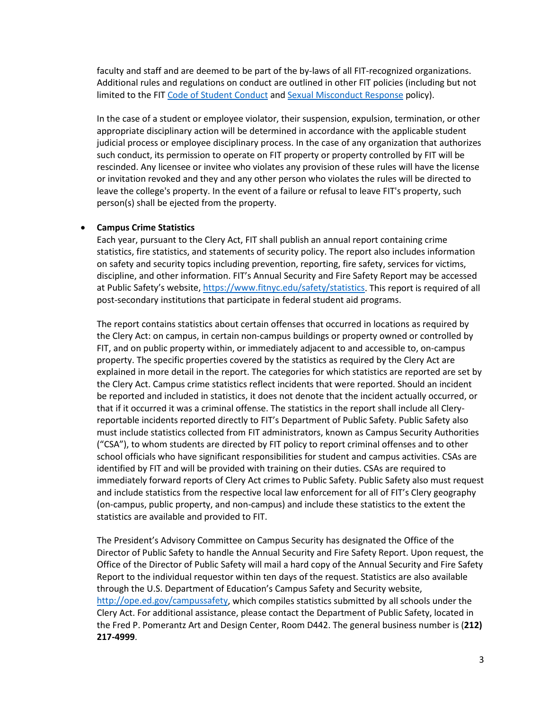faculty and staff and are deemed to be part of the by-laws of all FIT-recognized organizations. Additional rules and regulations on conduct are outlined in other FIT policies (including but not limited to the FIT [Code of Student Conduct](https://www.fitnyc.edu/policies/enrollment-management/code-of-conduct.php) and [Sexual Misconduct Response](https://www.fitnyc.edu/policies/safety-security/sexual-assault-stalking-abuse.php) policy).

In the case of a student or employee violator, their suspension, expulsion, termination, or other appropriate disciplinary action will be determined in accordance with the applicable student judicial process or employee disciplinary process. In the case of any organization that authorizes such conduct, its permission to operate on FIT property or property controlled by FIT will be rescinded. Any licensee or invitee who violates any provision of these rules will have the license or invitation revoked and they and any other person who violates the rules will be directed to leave the college's property. In the event of a failure or refusal to leave FIT's property, such person(s) shall be ejected from the property.

#### • **Campus Crime Statistics**

Each year, pursuant to the Clery Act, FIT shall publish an annual report containing crime statistics, fire statistics, and statements of security policy. The report also includes information on safety and security topics including prevention, reporting, fire safety, services for victims, discipline, and other information. FIT's Annual Security and Fire Safety Report may be accessed at Public Safety's website[, https://www.fitnyc.edu/safety/statistics.](https://www.fitnyc.edu/safety/statistics) This report is required of all post-secondary institutions that participate in federal student aid programs.

The report contains statistics about certain offenses that occurred in locations as required by the Clery Act: on campus, in certain non-campus buildings or property owned or controlled by FIT, and on public property within, or immediately adjacent to and accessible to, on-campus property. The specific properties covered by the statistics as required by the Clery Act are explained in more detail in the report. The categories for which statistics are reported are set by the Clery Act. Campus crime statistics reflect incidents that were reported. Should an incident be reported and included in statistics, it does not denote that the incident actually occurred, or that if it occurred it was a criminal offense. The statistics in the report shall include all Cleryreportable incidents reported directly to FIT's Department of Public Safety. Public Safety also must include statistics collected from FIT administrators, known as Campus Security Authorities ("CSA"), to whom students are directed by FIT policy to report criminal offenses and to other school officials who have significant responsibilities for student and campus activities. CSAs are identified by FIT and will be provided with training on their duties. CSAs are required to immediately forward reports of Clery Act crimes to Public Safety. Public Safety also must request and include statistics from the respective local law enforcement for all of FIT's Clery geography (on-campus, public property, and non-campus) and include these statistics to the extent the statistics are available and provided to FIT.

The President's Advisory Committee on Campus Security has designated the Office of the Director of Public Safety to handle the Annual Security and Fire Safety Report. Upon request, the Office of the Director of Public Safety will mail a hard copy of the Annual Security and Fire Safety Report to the individual requestor within ten days of the request. Statistics are also available through the U.S. Department of Education's Campus Safety and Security website, [http://ope.ed.gov/campussafety,](http://ope.ed.gov/campussafety) which compiles statistics submitted by all schools under the Clery Act. For additional assistance, please contact the Department of Public Safety, located in the Fred P. Pomerantz Art and Design Center, Room D442. The general business number is (**212) 217-4999**.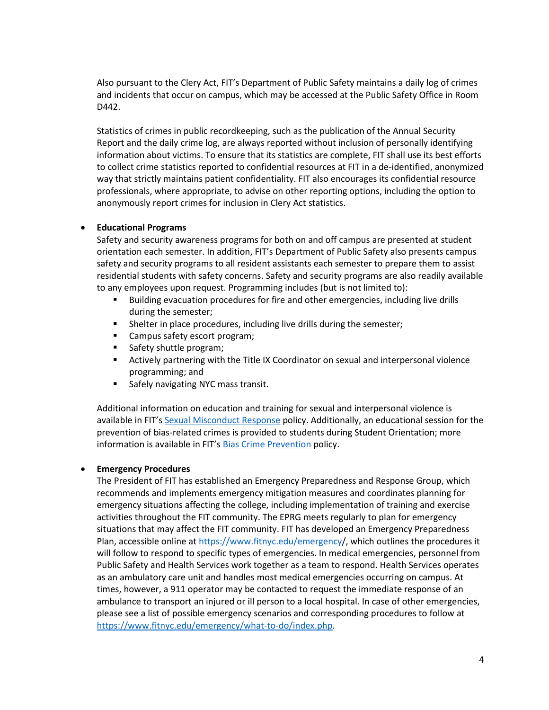Also pursuant to the Clery Act, FIT's Department of Public Safety maintains a daily log of crimes and incidents that occur on campus, which may be accessed at the Public Safety Office in Room D442.

Statistics of crimes in public recordkeeping, such as the publication of the Annual Security Report and the daily crime log, are always reported without inclusion of personally identifying information about victims. To ensure that its statistics are complete, FIT shall use its best efforts to collect crime statistics reported to confidential resources at FIT in a de-identified, anonymized way that strictly maintains patient confidentiality. FIT also encourages its confidential resource professionals, where appropriate, to advise on other reporting options, including the option to anonymously report crimes for inclusion in Clery Act statistics.

#### • **Educational Programs**

Safety and security awareness programs for both on and off campus are presented at student orientation each semester. In addition, FIT's Department of Public Safety also presents campus safety and security programs to all resident assistants each semester to prepare them to assist residential students with safety concerns. Safety and security programs are also readily available to any employees upon request. Programming includes (but is not limited to):

- **Building evacuation procedures for fire and other emergencies, including live drills** during the semester;
- **Shelter in place procedures, including live drills during the semester;**
- **EXEC** Campus safety escort program;
- Safety shuttle program;
- Actively partnering with the Title IX Coordinator on sexual and interpersonal violence programming; and
- **Safely navigating NYC mass transit.**

Additional information on education and training for sexual and interpersonal violence is available in FIT'[s Sexual Misconduct Response](https://www.fitnyc.edu/policies/safety-security/sexual-assault-stalking-abuse.php) policy. Additionally, an educational session for the prevention of bias-related crimes is provided to students during Student Orientation; more information is available in FIT'[s Bias Crime Prevention](https://www.fitnyc.edu/policies/enrollment-management/bias-crime-prevention.php) policy.

#### • **Emergency Procedures**

The President of FIT has established an Emergency Preparedness and Response Group, which recommends and implements emergency mitigation measures and coordinates planning for emergency situations affecting the college, including implementation of training and exercise activities throughout the FIT community. The EPRG meets regularly to plan for emergency situations that may affect the FIT community. FIT has developed an Emergency Preparedness Plan, accessible online a[t https://www.fitnyc.edu/emergency/](https://www.fitnyc.edu/emergency/), which outlines the procedures it will follow to respond to specific types of emergencies. In medical emergencies, personnel from Public Safety and Health Services work together as a team to respond. Health Services operates as an ambulatory care unit and handles most medical emergencies occurring on campus. At times, however, a 911 operator may be contacted to request the immediate response of an ambulance to transport an injured or ill person to a local hospital. In case of other emergencies, please see a list of possible emergency scenarios and corresponding procedures to follow at [https://www.fitnyc.edu/emergency/what-to-do/index.php.](https://www.fitnyc.edu/emergency/what-to-do/index.php)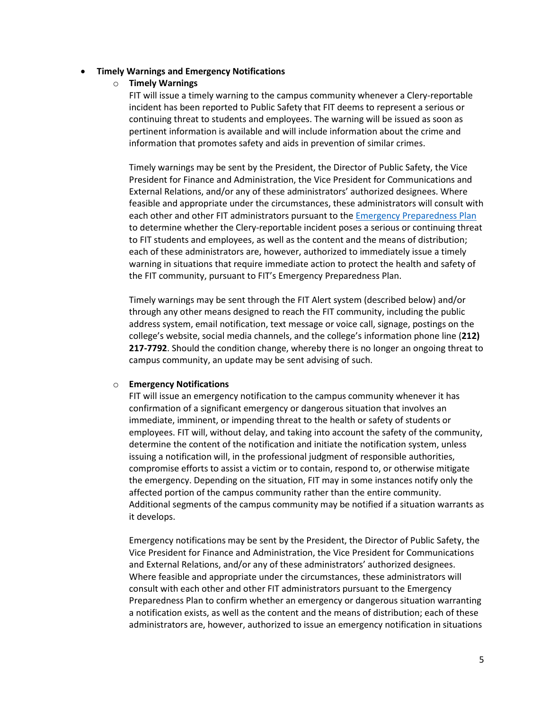#### • **Timely Warnings and Emergency Notifications**

o **Timely Warnings**

FIT will issue a timely warning to the campus community whenever a Clery-reportable incident has been reported to Public Safety that FIT deems to represent a serious or continuing threat to students and employees. The warning will be issued as soon as pertinent information is available and will include information about the crime and information that promotes safety and aids in prevention of similar crimes.

Timely warnings may be sent by the President, the Director of Public Safety, the Vice President for Finance and Administration, the Vice President for Communications and External Relations, and/or any of these administrators' authorized designees. Where feasible and appropriate under the circumstances, these administrators will consult with each other and other FIT administrators pursuant to th[e Emergency Preparedness Plan](https://www.fitnyc.edu/emergency/) to determine whether the Clery-reportable incident poses a serious or continuing threat to FIT students and employees, as well as the content and the means of distribution; each of these administrators are, however, authorized to immediately issue a timely warning in situations that require immediate action to protect the health and safety of the FIT community, pursuant to FIT's Emergency Preparedness Plan.

Timely warnings may be sent through the FIT Alert system (described below) and/or through any other means designed to reach the FIT community, including the public address system, email notification, text message or voice call, signage, postings on the college's website, social media channels, and the college's information phone line (**212) 217-7792**. Should the condition change, whereby there is no longer an ongoing threat to campus community, an update may be sent advising of such.

#### o **Emergency Notifications**

FIT will issue an emergency notification to the campus community whenever it has confirmation of a significant emergency or dangerous situation that involves an immediate, imminent, or impending threat to the health or safety of students or employees. FIT will, without delay, and taking into account the safety of the community, determine the content of the notification and initiate the notification system, unless issuing a notification will, in the professional judgment of responsible authorities, compromise efforts to assist a victim or to contain, respond to, or otherwise mitigate the emergency. Depending on the situation, FIT may in some instances notify only the affected portion of the campus community rather than the entire community. Additional segments of the campus community may be notified if a situation warrants as it develops.

Emergency notifications may be sent by the President, the Director of Public Safety, the Vice President for Finance and Administration, the Vice President for Communications and External Relations, and/or any of these administrators' authorized designees. Where feasible and appropriate under the circumstances, these administrators will consult with each other and other FIT administrators pursuant to the Emergency Preparedness Plan to confirm whether an emergency or dangerous situation warranting a notification exists, as well as the content and the means of distribution; each of these administrators are, however, authorized to issue an emergency notification in situations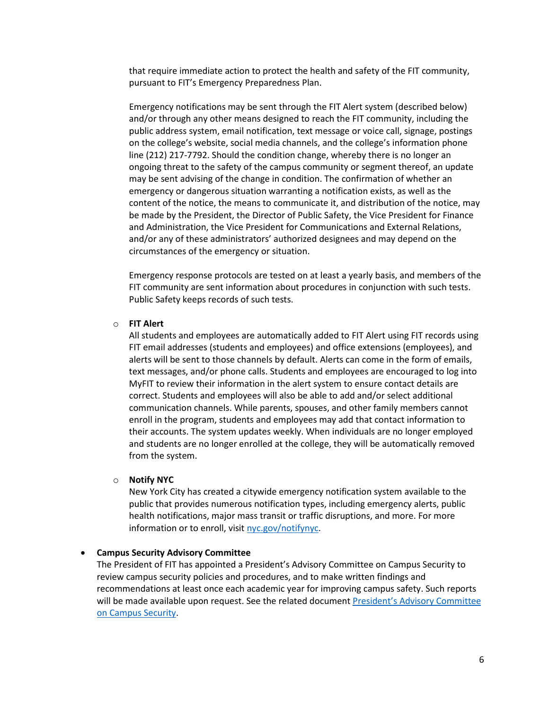that require immediate action to protect the health and safety of the FIT community, pursuant to FIT's Emergency Preparedness Plan.

Emergency notifications may be sent through the FIT Alert system (described below) and/or through any other means designed to reach the FIT community, including the public address system, email notification, text message or voice call, signage, postings on the college's website, social media channels, and the college's information phone line (212) 217-7792. Should the condition change, whereby there is no longer an ongoing threat to the safety of the campus community or segment thereof, an update may be sent advising of the change in condition. The confirmation of whether an emergency or dangerous situation warranting a notification exists, as well as the content of the notice, the means to communicate it, and distribution of the notice, may be made by the President, the Director of Public Safety, the Vice President for Finance and Administration, the Vice President for Communications and External Relations, and/or any of these administrators' authorized designees and may depend on the circumstances of the emergency or situation.

Emergency response protocols are tested on at least a yearly basis, and members of the FIT community are sent information about procedures in conjunction with such tests. Public Safety keeps records of such tests.

#### o **FIT Alert**

All students and employees are automatically added to FIT Alert using FIT records using FIT email addresses (students and employees) and office extensions (employees), and alerts will be sent to those channels by default. Alerts can come in the form of emails, text messages, and/or phone calls. Students and employees are encouraged to log into MyFIT to review their information in the alert system to ensure contact details are correct. Students and employees will also be able to add and/or select additional communication channels. While parents, spouses, and other family members cannot enroll in the program, students and employees may add that contact information to their accounts. The system updates weekly. When individuals are no longer employed and students are no longer enrolled at the college, they will be automatically removed from the system.

#### o **Notify NYC**

New York City has created a citywide emergency notification system available to the public that provides numerous notification types, including emergency alerts, public health notifications, major mass transit or traffic disruptions, and more. For more information or to enroll, visit [nyc.gov/notifynyc.](https://a858-nycnotify.nyc.gov/notifynyc)

#### • **Campus Security Advisory Committee**

The President of FIT has appointed a President's Advisory Committee on Campus Security to review campus security policies and procedures, and to make written findings and recommendations at least once each academic year for improving campus safety. Such reports will be made available upon request. See the related documen[t President's Advisory Committee](https://www.fitnyc.edu/safety/advisory-committee.php)  [on Campus Security.](https://www.fitnyc.edu/safety/advisory-committee.php)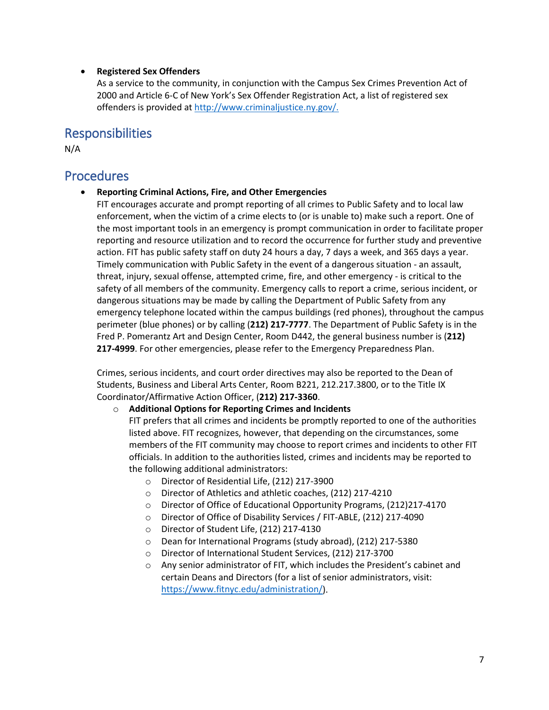#### • **Registered Sex Offenders**

As a service to the community, in conjunction with the Campus Sex Crimes Prevention Act of 2000 and Article 6-C of New York's Sex Offender Registration Act, a list of registered sex offenders is provided at [http://www.criminaljustice.ny.gov/.](http://www.criminaljustice.ny.gov/)

### Responsibilities

N/A

### Procedures

• **Reporting Criminal Actions, Fire, and Other Emergencies**

FIT encourages accurate and prompt reporting of all crimes to Public Safety and to local law enforcement, when the victim of a crime elects to (or is unable to) make such a report. One of the most important tools in an emergency is prompt communication in order to facilitate proper reporting and resource utilization and to record the occurrence for further study and preventive action. FIT has public safety staff on duty 24 hours a day, 7 days a week, and 365 days a year. Timely communication with Public Safety in the event of a dangerous situation - an assault, threat, injury, sexual offense, attempted crime, fire, and other emergency - is critical to the safety of all members of the community. Emergency calls to report a crime, serious incident, or dangerous situations may be made by calling the Department of Public Safety from any emergency telephone located within the campus buildings (red phones), throughout the campus perimeter (blue phones) or by calling (**212) 217-7777**. The Department of Public Safety is in the Fred P. Pomerantz Art and Design Center, Room D442, the general business number is (**212) 217-4999**. For other emergencies, please refer to the Emergency Preparedness Plan.

Crimes, serious incidents, and court order directives may also be reported to the Dean of Students, Business and Liberal Arts Center, Room B221, 212.217.3800, or to the Title IX Coordinator/Affirmative Action Officer, (**212) 217-3360**.

#### o **Additional Options for Reporting Crimes and Incidents**

FIT prefers that all crimes and incidents be promptly reported to one of the authorities listed above. FIT recognizes, however, that depending on the circumstances, some members of the FIT community may choose to report crimes and incidents to other FIT officials. In addition to the authorities listed, crimes and incidents may be reported to the following additional administrators:

- o Director of Residential Life, (212) 217-3900
- o Director of Athletics and athletic coaches, (212) 217-4210
- o Director of Office of Educational Opportunity Programs, (212)217-4170
- o Director of Office of Disability Services / FIT-ABLE, (212) 217-4090
- o Director of Student Life, (212) 217-4130
- o Dean for International Programs (study abroad), (212) 217-5380
- o Director of International Student Services, (212) 217-3700
- o Any senior administrator of FIT, which includes the President's cabinet and certain Deans and Directors (for a list of senior administrators, visit: [https://www.fitnyc.edu/administration/\)](https://www.fitnyc.edu/administration/).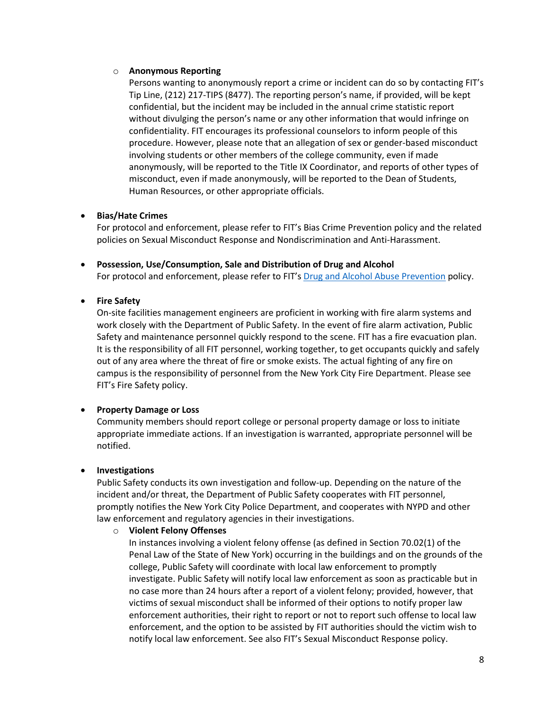#### o **Anonymous Reporting**

Persons wanting to anonymously report a crime or incident can do so by contacting FIT's Tip Line, (212) 217-TIPS (8477). The reporting person's name, if provided, will be kept confidential, but the incident may be included in the annual crime statistic report without divulging the person's name or any other information that would infringe on confidentiality. FIT encourages its professional counselors to inform people of this procedure. However, please note that an allegation of sex or gender-based misconduct involving students or other members of the college community, even if made anonymously, will be reported to the Title IX Coordinator, and reports of other types of misconduct, even if made anonymously, will be reported to the Dean of Students, Human Resources, or other appropriate officials.

#### • **Bias/Hate Crimes**

For protocol and enforcement, please refer to FIT's Bias Crime Prevention policy and the related policies on Sexual Misconduct Response and Nondiscrimination and Anti-Harassment.

• **Possession, Use/Consumption, Sale and Distribution of Drug and Alcohol** For protocol and enforcement, please refer to FIT'[s Drug and Alcohol Abuse Prevention](http://www.fitnyc.edu/policies/enrollment-management/drug-alcohol-abuse-prevention.php) policy.

#### • **Fire Safety**

On-site facilities management engineers are proficient in working with fire alarm systems and work closely with the Department of Public Safety. In the event of fire alarm activation, Public Safety and maintenance personnel quickly respond to the scene. FIT has a fire evacuation plan. It is the responsibility of all FIT personnel, working together, to get occupants quickly and safely out of any area where the threat of fire or smoke exists. The actual fighting of any fire on campus is the responsibility of personnel from the New York City Fire Department. Please see FIT's Fire Safety policy.

#### • **Property Damage or Loss**

Community members should report college or personal property damage or loss to initiate appropriate immediate actions. If an investigation is warranted, appropriate personnel will be notified.

#### • **Investigations**

Public Safety conducts its own investigation and follow-up. Depending on the nature of the incident and/or threat, the Department of Public Safety cooperates with FIT personnel, promptly notifies the New York City Police Department, and cooperates with NYPD and other law enforcement and regulatory agencies in their investigations.

#### o **Violent Felony Offenses**

In instances involving a violent felony offense (as defined in Section 70.02(1) of the Penal Law of the State of New York) occurring in the buildings and on the grounds of the college, Public Safety will coordinate with local law enforcement to promptly investigate. Public Safety will notify local law enforcement as soon as practicable but in no case more than 24 hours after a report of a violent felony; provided, however, that victims of sexual misconduct shall be informed of their options to notify proper law enforcement authorities, their right to report or not to report such offense to local law enforcement, and the option to be assisted by FIT authorities should the victim wish to notify local law enforcement. See also FIT's Sexual Misconduct Response policy.